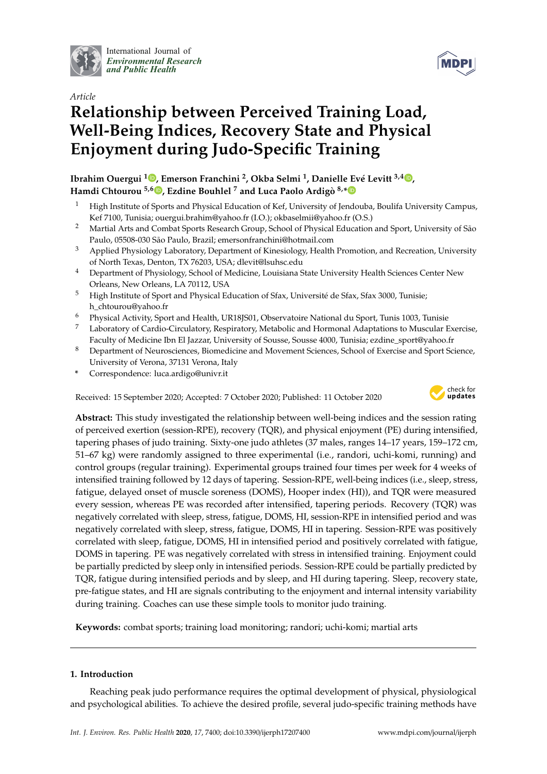

International Journal of *[Environmental Research](http://www.mdpi.com/journal/ijerph) and Public Health*



# *Article* **Relationship between Perceived Training Load, Well-Being Indices, Recovery State and Physical Enjoyment during Judo-Specific Training**

**Ibrahim Ouergui <sup>1</sup> [,](https://orcid.org/0000-0002-0131-1594) Emerson Franchini <sup>2</sup> , Okba Selmi <sup>1</sup> , Danielle Evé Levitt 3,4 [,](https://orcid.org/0000-0003-1865-1971) Hamdi Chtourou 5,6 [,](https://orcid.org/0000-0002-5482-9151) Ezdine Bouhlel <sup>7</sup> and Luca Paolo Ardigò 8,[\\*](https://orcid.org/0000-0001-7677-5070)**

- <sup>1</sup> High Institute of Sports and Physical Education of Kef, University of Jendouba, Boulifa University Campus, Kef 7100, Tunisia; ouergui.brahim@yahoo.fr (I.O.); okbaselmii@yahoo.fr (O.S.)
- <sup>2</sup> Martial Arts and Combat Sports Research Group, School of Physical Education and Sport, University of São Paulo, 05508-030 São Paulo, Brazil; emersonfranchini@hotmail.com
- <sup>3</sup> Applied Physiology Laboratory, Department of Kinesiology, Health Promotion, and Recreation, University of North Texas, Denton, TX 76203, USA; dlevit@lsuhsc.edu
- <sup>4</sup> Department of Physiology, School of Medicine, Louisiana State University Health Sciences Center New Orleans, New Orleans, LA 70112, USA
- <sup>5</sup> High Institute of Sport and Physical Education of Sfax, Université de Sfax, Sfax 3000, Tunisie; h\_chtourou@yahoo.fr
- <sup>6</sup> Physical Activity, Sport and Health, UR18JS01, Observatoire National du Sport, Tunis 1003, Tunisie
- <sup>7</sup> Laboratory of Cardio-Circulatory, Respiratory, Metabolic and Hormonal Adaptations to Muscular Exercise, Faculty of Medicine Ibn El Jazzar, University of Sousse, Sousse 4000, Tunisia; ezdine\_sport@yahoo.fr
- <sup>8</sup> Department of Neurosciences, Biomedicine and Movement Sciences, School of Exercise and Sport Science, University of Verona, 37131 Verona, Italy
- **\*** Correspondence: luca.ardigo@univr.it

Received: 15 September 2020; Accepted: 7 October 2020; Published: 11 October 2020



**Abstract:** This study investigated the relationship between well-being indices and the session rating of perceived exertion (session-RPE), recovery (TQR), and physical enjoyment (PE) during intensified, tapering phases of judo training. Sixty-one judo athletes (37 males, ranges 14–17 years, 159–172 cm, 51–67 kg) were randomly assigned to three experimental (i.e., randori, uchi-komi, running) and control groups (regular training). Experimental groups trained four times per week for 4 weeks of intensified training followed by 12 days of tapering. Session-RPE, well-being indices (i.e., sleep, stress, fatigue, delayed onset of muscle soreness (DOMS), Hooper index (HI)), and TQR were measured every session, whereas PE was recorded after intensified, tapering periods. Recovery (TQR) was negatively correlated with sleep, stress, fatigue, DOMS, HI, session-RPE in intensified period and was negatively correlated with sleep, stress, fatigue, DOMS, HI in tapering. Session-RPE was positively correlated with sleep, fatigue, DOMS, HI in intensified period and positively correlated with fatigue, DOMS in tapering. PE was negatively correlated with stress in intensified training. Enjoyment could be partially predicted by sleep only in intensified periods. Session-RPE could be partially predicted by TQR, fatigue during intensified periods and by sleep, and HI during tapering. Sleep, recovery state, pre-fatigue states, and HI are signals contributing to the enjoyment and internal intensity variability during training. Coaches can use these simple tools to monitor judo training.

**Keywords:** combat sports; training load monitoring; randori; uchi-komi; martial arts

## **1. Introduction**

Reaching peak judo performance requires the optimal development of physical, physiological and psychological abilities. To achieve the desired profile, several judo-specific training methods have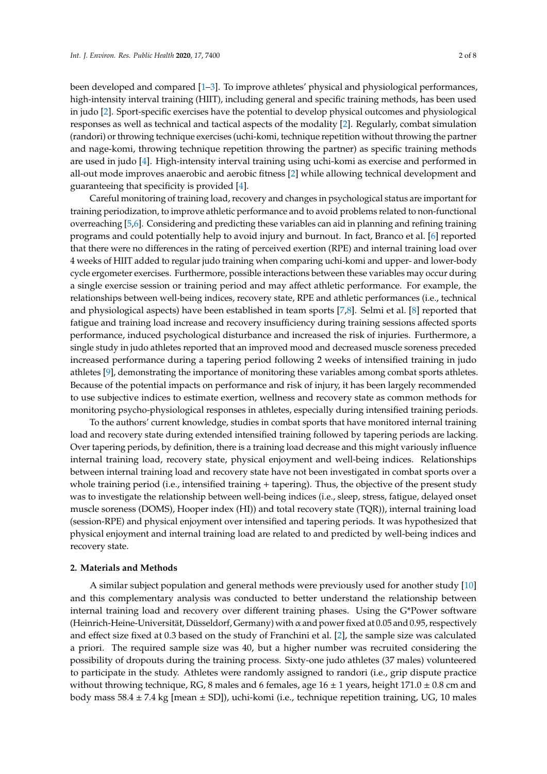been developed and compared [\[1](#page-6-0)[–3\]](#page-6-1). To improve athletes' physical and physiological performances, high-intensity interval training (HIIT), including general and specific training methods, has been used in judo [\[2\]](#page-6-2). Sport-specific exercises have the potential to develop physical outcomes and physiological responses as well as technical and tactical aspects of the modality [\[2\]](#page-6-2). Regularly, combat simulation (randori) or throwing technique exercises (uchi-komi, technique repetition without throwing the partner and nage-komi, throwing technique repetition throwing the partner) as specific training methods are used in judo [\[4\]](#page-6-3). High-intensity interval training using uchi-komi as exercise and performed in all-out mode improves anaerobic and aerobic fitness [\[2\]](#page-6-2) while allowing technical development and guaranteeing that specificity is provided [\[4\]](#page-6-3).

Careful monitoring of training load, recovery and changes in psychological status are important for training periodization, to improve athletic performance and to avoid problems related to non-functional overreaching [\[5](#page-6-4)[,6\]](#page-6-5). Considering and predicting these variables can aid in planning and refining training programs and could potentially help to avoid injury and burnout. In fact, Branco et al. [\[6\]](#page-6-5) reported that there were no differences in the rating of perceived exertion (RPE) and internal training load over 4 weeks of HIIT added to regular judo training when comparing uchi-komi and upper- and lower-body cycle ergometer exercises. Furthermore, possible interactions between these variables may occur during a single exercise session or training period and may affect athletic performance. For example, the relationships between well-being indices, recovery state, RPE and athletic performances (i.e., technical and physiological aspects) have been established in team sports [\[7,](#page-6-6)[8\]](#page-6-7). Selmi et al. [\[8\]](#page-6-7) reported that fatigue and training load increase and recovery insufficiency during training sessions affected sports performance, induced psychological disturbance and increased the risk of injuries. Furthermore, a single study in judo athletes reported that an improved mood and decreased muscle soreness preceded increased performance during a tapering period following 2 weeks of intensified training in judo athletes [\[9\]](#page-6-8), demonstrating the importance of monitoring these variables among combat sports athletes. Because of the potential impacts on performance and risk of injury, it has been largely recommended to use subjective indices to estimate exertion, wellness and recovery state as common methods for monitoring psycho-physiological responses in athletes, especially during intensified training periods.

To the authors' current knowledge, studies in combat sports that have monitored internal training load and recovery state during extended intensified training followed by tapering periods are lacking. Over tapering periods, by definition, there is a training load decrease and this might variously influence internal training load, recovery state, physical enjoyment and well-being indices. Relationships between internal training load and recovery state have not been investigated in combat sports over a whole training period (i.e., intensified training + tapering). Thus, the objective of the present study was to investigate the relationship between well-being indices (i.e., sleep, stress, fatigue, delayed onset muscle soreness (DOMS), Hooper index (HI)) and total recovery state (TQR)), internal training load (session-RPE) and physical enjoyment over intensified and tapering periods. It was hypothesized that physical enjoyment and internal training load are related to and predicted by well-being indices and recovery state.

#### **2. Materials and Methods**

A similar subject population and general methods were previously used for another study [\[10\]](#page-6-9) and this complementary analysis was conducted to better understand the relationship between internal training load and recovery over different training phases. Using the G\*Power software (Heinrich-Heine-Universität, Düsseldorf, Germany) with  $\alpha$  and power fixed at 0.05 and 0.95, respectively and effect size fixed at 0.3 based on the study of Franchini et al. [\[2\]](#page-6-2), the sample size was calculated a priori. The required sample size was 40, but a higher number was recruited considering the possibility of dropouts during the training process. Sixty-one judo athletes (37 males) volunteered to participate in the study. Athletes were randomly assigned to randori (i.e., grip dispute practice without throwing technique, RG, 8 males and 6 females, age  $16 \pm 1$  years, height  $171.0 \pm 0.8$  cm and body mass  $58.4 \pm 7.4$  kg [mean  $\pm$  SD]), uchi-komi (i.e., technique repetition training, UG, 10 males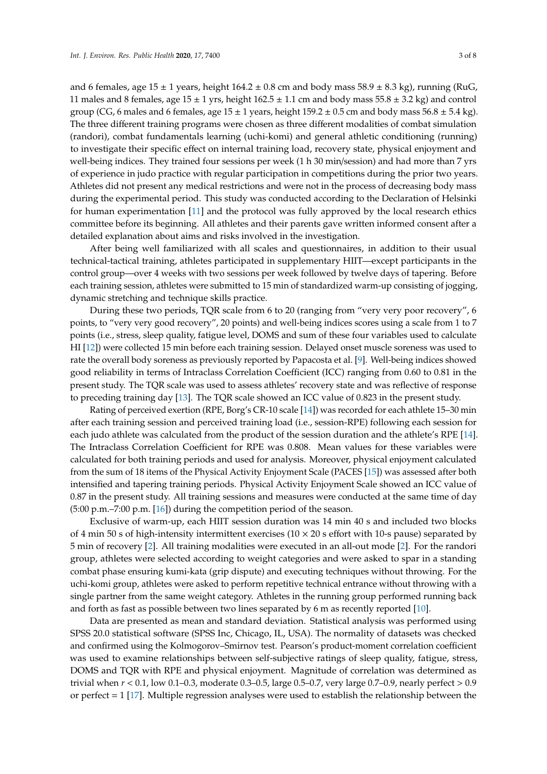and 6 females, age  $15 \pm 1$  years, height  $164.2 \pm 0.8$  cm and body mass  $58.9 \pm 8.3$  kg), running (RuG, 11 males and 8 females, age  $15 \pm 1$  yrs, height  $162.5 \pm 1.1$  cm and body mass  $55.8 \pm 3.2$  kg) and control group (CG, 6 males and 6 females, age  $15 \pm 1$  years, height  $159.2 \pm 0.5$  cm and body mass  $56.8 \pm 5.4$  kg). The three different training programs were chosen as three different modalities of combat simulation (randori), combat fundamentals learning (uchi-komi) and general athletic conditioning (running) to investigate their specific effect on internal training load, recovery state, physical enjoyment and well-being indices. They trained four sessions per week (1 h 30 min/session) and had more than 7 yrs of experience in judo practice with regular participation in competitions during the prior two years. Athletes did not present any medical restrictions and were not in the process of decreasing body mass during the experimental period. This study was conducted according to the Declaration of Helsinki for human experimentation [\[11\]](#page-6-10) and the protocol was fully approved by the local research ethics committee before its beginning. All athletes and their parents gave written informed consent after a detailed explanation about aims and risks involved in the investigation.

After being well familiarized with all scales and questionnaires, in addition to their usual technical-tactical training, athletes participated in supplementary HIIT—except participants in the control group—over 4 weeks with two sessions per week followed by twelve days of tapering. Before each training session, athletes were submitted to 15 min of standardized warm-up consisting of jogging, dynamic stretching and technique skills practice.

During these two periods, TQR scale from 6 to 20 (ranging from "very very poor recovery", 6 points, to "very very good recovery", 20 points) and well-being indices scores using a scale from 1 to 7 points (i.e., stress, sleep quality, fatigue level, DOMS and sum of these four variables used to calculate HI [\[12\]](#page-6-11)) were collected 15 min before each training session. Delayed onset muscle soreness was used to rate the overall body soreness as previously reported by Papacosta et al. [\[9\]](#page-6-8). Well-being indices showed good reliability in terms of Intraclass Correlation Coefficient (ICC) ranging from 0.60 to 0.81 in the present study. The TQR scale was used to assess athletes' recovery state and was reflective of response to preceding training day [\[13\]](#page-6-12). The TQR scale showed an ICC value of 0.823 in the present study.

Rating of perceived exertion (RPE, Borg's CR-10 scale [\[14\]](#page-6-13)) was recorded for each athlete 15–30 min after each training session and perceived training load (i.e., session-RPE) following each session for each judo athlete was calculated from the product of the session duration and the athlete's RPE [\[14\]](#page-6-13). The Intraclass Correlation Coefficient for RPE was 0.808. Mean values for these variables were calculated for both training periods and used for analysis. Moreover, physical enjoyment calculated from the sum of 18 items of the Physical Activity Enjoyment Scale (PACES [\[15\]](#page-6-14)) was assessed after both intensified and tapering training periods. Physical Activity Enjoyment Scale showed an ICC value of 0.87 in the present study. All training sessions and measures were conducted at the same time of day (5:00 p.m.–7:00 p.m. [\[16\]](#page-7-0)) during the competition period of the season.

Exclusive of warm-up, each HIIT session duration was 14 min 40 s and included two blocks of 4 min 50 s of high-intensity intermittent exercises  $(10 \times 20)$  s effort with 10-s pause) separated by 5 min of recovery [\[2\]](#page-6-2). All training modalities were executed in an all-out mode [\[2\]](#page-6-2). For the randori group, athletes were selected according to weight categories and were asked to spar in a standing combat phase ensuring kumi-kata (grip dispute) and executing techniques without throwing. For the uchi-komi group, athletes were asked to perform repetitive technical entrance without throwing with a single partner from the same weight category. Athletes in the running group performed running back and forth as fast as possible between two lines separated by 6 m as recently reported [\[10\]](#page-6-9).

Data are presented as mean and standard deviation. Statistical analysis was performed using SPSS 20.0 statistical software (SPSS Inc, Chicago, IL, USA). The normality of datasets was checked and confirmed using the Kolmogorov–Smirnov test. Pearson's product-moment correlation coefficient was used to examine relationships between self-subjective ratings of sleep quality, fatigue, stress, DOMS and TQR with RPE and physical enjoyment. Magnitude of correlation was determined as trivial when *r* < 0.1, low 0.1–0.3, moderate 0.3–0.5, large 0.5–0.7, very large 0.7–0.9, nearly perfect > 0.9 or perfect = 1 [\[17\]](#page-7-1). Multiple regression analyses were used to establish the relationship between the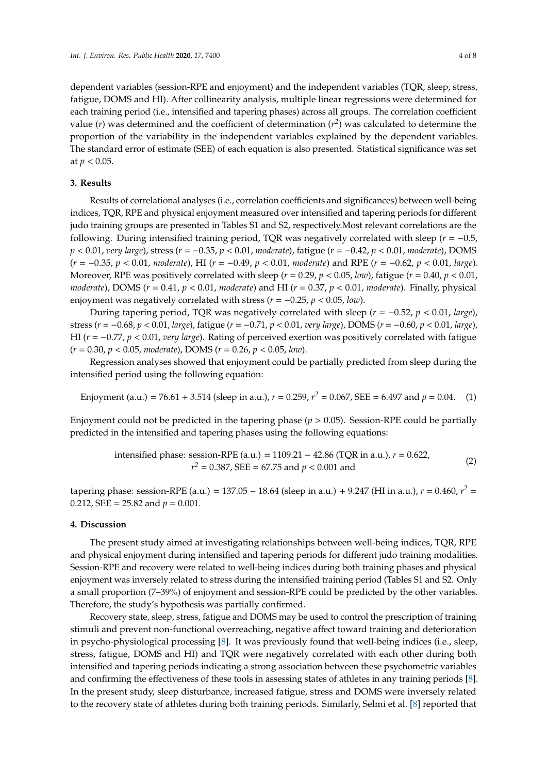dependent variables (session-RPE and enjoyment) and the independent variables (TQR, sleep, stress, fatigue, DOMS and HI). After collinearity analysis, multiple linear regressions were determined for each training period (i.e., intensified and tapering phases) across all groups. The correlation coefficient value (*r*) was determined and the coefficient of determination ( $r^2$ ) was calculated to determine the proportion of the variability in the independent variables explained by the dependent variables. The standard error of estimate (SEE) of each equation is also presented. Statistical significance was set at  $p < 0.05$ .

#### **3. Results**

Results of correlational analyses (i.e., correlation coefficients and significances) between well-being indices, TQR, RPE and physical enjoyment measured over intensified and tapering periods for different judo training groups are presented in Tables S1 and S2, respectively.Most relevant correlations are the following. During intensified training period, TQR was negatively correlated with sleep (*r* = −0.5, *p* < 0.01, *very large*), stress (*r* = −0.35, *p* < 0.01, *moderate*), fatigue (*r* = −0.42, *p* < 0.01, *moderate*), DOMS (*r* = −0.35, *p* < 0.01, *moderate*), HI (*r* = −0.49, *p* < 0.01, *moderate*) and RPE (*r* = −0.62, *p* < 0.01, *large*). Moreover, RPE was positively correlated with sleep (*r* = 0.29, *p* < 0.05, *low*), fatigue (*r* = 0.40, *p* < 0.01, *moderate*), DOMS (*r* = 0.41, *p* < 0.01, *moderate*) and HI (*r* = 0.37, *p* < 0.01, *moderate*). Finally, physical enjoyment was negatively correlated with stress (*r* = −0.25, *p* < 0.05, *low*).

During tapering period, TQR was negatively correlated with sleep (*r* = −0.52, *p* < 0.01, *large*), stress (*r* = −0.68, *p* < 0.01, *large*), fatigue (*r* = −0.71, *p* < 0.01, *very large*), DOMS (*r* = −0.60, *p* < 0.01, *large*), HI (*r* = −0.77, *p* < 0.01, *very large*). Rating of perceived exertion was positively correlated with fatigue (*r* = 0.30, *p* < 0.05, *moderate*), DOMS (*r* = 0.26, *p* < 0.05, *low*).

Regression analyses showed that enjoyment could be partially predicted from sleep during the intensified period using the following equation:

Enjoyment (a.u.) = 76.61 + 3.514 (sleep in a.u.), 
$$
r = 0.259
$$
,  $r^2 = 0.067$ ,  $SEE = 6.497$  and  $p = 0.04$ . (1)

Enjoyment could not be predicted in the tapering phase  $(p > 0.05)$ . Session-RPE could be partially predicted in the intensified and tapering phases using the following equations:

intensified phase: session-RPE (a.u.) = 
$$
1109.21 - 42.86
$$
 (TQR in a.u.),  $r = 0.622$ ,  
 $r^2 = 0.387$ ,  $SEE = 67.75$  and  $p < 0.001$  and

tapering phase: session-RPE (a.u.) = 137.05 – 18.64 (sleep in a.u.) + 9.247 (HI in a.u.),  $r = 0.460$ ,  $r^2 =$ 0.212, SEE =  $25.82$  and  $p = 0.001$ .

#### **4. Discussion**

The present study aimed at investigating relationships between well-being indices, TQR, RPE and physical enjoyment during intensified and tapering periods for different judo training modalities. Session-RPE and recovery were related to well-being indices during both training phases and physical enjoyment was inversely related to stress during the intensified training period (Tables S1 and S2. Only a small proportion (7–39%) of enjoyment and session-RPE could be predicted by the other variables. Therefore, the study's hypothesis was partially confirmed.

Recovery state, sleep, stress, fatigue and DOMS may be used to control the prescription of training stimuli and prevent non-functional overreaching, negative affect toward training and deterioration in psycho-physiological processing [\[8\]](#page-6-7). It was previously found that well-being indices (i.e., sleep, stress, fatigue, DOMS and HI) and TQR were negatively correlated with each other during both intensified and tapering periods indicating a strong association between these psychometric variables and confirming the effectiveness of these tools in assessing states of athletes in any training periods [\[8\]](#page-6-7). In the present study, sleep disturbance, increased fatigue, stress and DOMS were inversely related to the recovery state of athletes during both training periods. Similarly, Selmi et al. [\[8\]](#page-6-7) reported that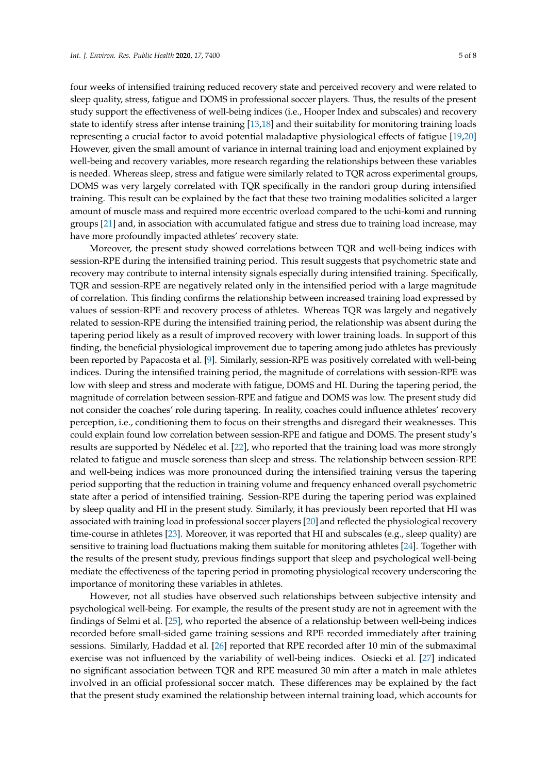four weeks of intensified training reduced recovery state and perceived recovery and were related to sleep quality, stress, fatigue and DOMS in professional soccer players. Thus, the results of the present study support the effectiveness of well-being indices (i.e., Hooper Index and subscales) and recovery state to identify stress after intense training [\[13](#page-6-12)[,18\]](#page-7-2) and their suitability for monitoring training loads representing a crucial factor to avoid potential maladaptive physiological effects of fatigue [\[19](#page-7-3)[,20\]](#page-7-4) However, given the small amount of variance in internal training load and enjoyment explained by well-being and recovery variables, more research regarding the relationships between these variables is needed. Whereas sleep, stress and fatigue were similarly related to TQR across experimental groups, DOMS was very largely correlated with TQR specifically in the randori group during intensified training. This result can be explained by the fact that these two training modalities solicited a larger amount of muscle mass and required more eccentric overload compared to the uchi-komi and running groups [\[21\]](#page-7-5) and, in association with accumulated fatigue and stress due to training load increase, may have more profoundly impacted athletes' recovery state.

Moreover, the present study showed correlations between TQR and well-being indices with session-RPE during the intensified training period. This result suggests that psychometric state and recovery may contribute to internal intensity signals especially during intensified training. Specifically, TQR and session-RPE are negatively related only in the intensified period with a large magnitude of correlation. This finding confirms the relationship between increased training load expressed by values of session-RPE and recovery process of athletes. Whereas TQR was largely and negatively related to session-RPE during the intensified training period, the relationship was absent during the tapering period likely as a result of improved recovery with lower training loads. In support of this finding, the beneficial physiological improvement due to tapering among judo athletes has previously been reported by Papacosta et al. [\[9\]](#page-6-8). Similarly, session-RPE was positively correlated with well-being indices. During the intensified training period, the magnitude of correlations with session-RPE was low with sleep and stress and moderate with fatigue, DOMS and HI. During the tapering period, the magnitude of correlation between session-RPE and fatigue and DOMS was low. The present study did not consider the coaches' role during tapering. In reality, coaches could influence athletes' recovery perception, i.e., conditioning them to focus on their strengths and disregard their weaknesses. This could explain found low correlation between session-RPE and fatigue and DOMS. The present study's results are supported by Nédélec et al. [\[22\]](#page-7-6), who reported that the training load was more strongly related to fatigue and muscle soreness than sleep and stress. The relationship between session-RPE and well-being indices was more pronounced during the intensified training versus the tapering period supporting that the reduction in training volume and frequency enhanced overall psychometric state after a period of intensified training. Session-RPE during the tapering period was explained by sleep quality and HI in the present study. Similarly, it has previously been reported that HI was associated with training load in professional soccer players [\[20\]](#page-7-4) and reflected the physiological recovery time-course in athletes [\[23\]](#page-7-7). Moreover, it was reported that HI and subscales (e.g., sleep quality) are sensitive to training load fluctuations making them suitable for monitoring athletes [\[24\]](#page-7-8). Together with the results of the present study, previous findings support that sleep and psychological well-being mediate the effectiveness of the tapering period in promoting physiological recovery underscoring the importance of monitoring these variables in athletes.

However, not all studies have observed such relationships between subjective intensity and psychological well-being. For example, the results of the present study are not in agreement with the findings of Selmi et al. [\[25\]](#page-7-9), who reported the absence of a relationship between well-being indices recorded before small-sided game training sessions and RPE recorded immediately after training sessions. Similarly, Haddad et al. [\[26\]](#page-7-10) reported that RPE recorded after 10 min of the submaximal exercise was not influenced by the variability of well-being indices. Osiecki et al. [\[27\]](#page-7-11) indicated no significant association between TQR and RPE measured 30 min after a match in male athletes involved in an official professional soccer match. These differences may be explained by the fact that the present study examined the relationship between internal training load, which accounts for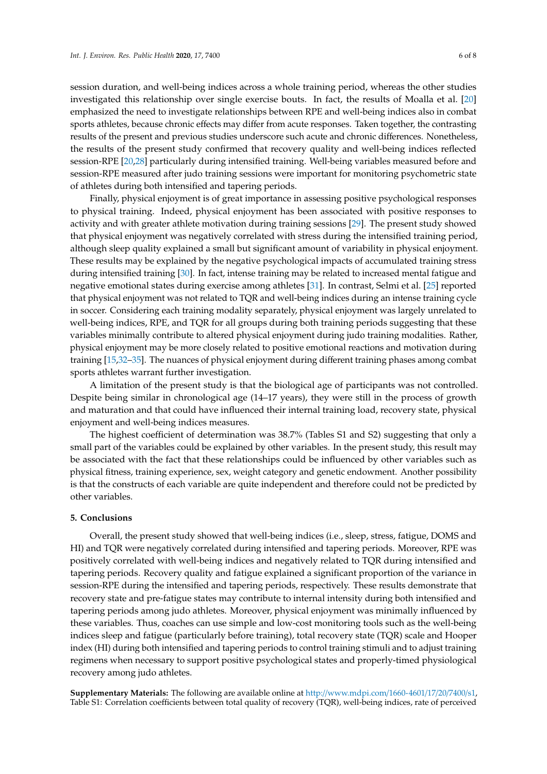session duration, and well-being indices across a whole training period, whereas the other studies investigated this relationship over single exercise bouts. In fact, the results of Moalla et al. [\[20\]](#page-7-4) emphasized the need to investigate relationships between RPE and well-being indices also in combat sports athletes, because chronic effects may differ from acute responses. Taken together, the contrasting results of the present and previous studies underscore such acute and chronic differences. Nonetheless, the results of the present study confirmed that recovery quality and well-being indices reflected session-RPE [\[20](#page-7-4)[,28\]](#page-7-12) particularly during intensified training. Well-being variables measured before and session-RPE measured after judo training sessions were important for monitoring psychometric state of athletes during both intensified and tapering periods.

Finally, physical enjoyment is of great importance in assessing positive psychological responses to physical training. Indeed, physical enjoyment has been associated with positive responses to activity and with greater athlete motivation during training sessions [\[29\]](#page-7-13). The present study showed that physical enjoyment was negatively correlated with stress during the intensified training period, although sleep quality explained a small but significant amount of variability in physical enjoyment. These results may be explained by the negative psychological impacts of accumulated training stress during intensified training [\[30\]](#page-7-14). In fact, intense training may be related to increased mental fatigue and negative emotional states during exercise among athletes [\[31\]](#page-7-15). In contrast, Selmi et al. [\[25\]](#page-7-9) reported that physical enjoyment was not related to TQR and well-being indices during an intense training cycle in soccer. Considering each training modality separately, physical enjoyment was largely unrelated to well-being indices, RPE, and TQR for all groups during both training periods suggesting that these variables minimally contribute to altered physical enjoyment during judo training modalities. Rather, physical enjoyment may be more closely related to positive emotional reactions and motivation during training [\[15](#page-6-14)[,32–](#page-7-16)[35\]](#page-7-17). The nuances of physical enjoyment during different training phases among combat sports athletes warrant further investigation.

A limitation of the present study is that the biological age of participants was not controlled. Despite being similar in chronological age (14–17 years), they were still in the process of growth and maturation and that could have influenced their internal training load, recovery state, physical enjoyment and well-being indices measures.

The highest coefficient of determination was 38.7% (Tables S1 and S2) suggesting that only a small part of the variables could be explained by other variables. In the present study, this result may be associated with the fact that these relationships could be influenced by other variables such as physical fitness, training experience, sex, weight category and genetic endowment. Another possibility is that the constructs of each variable are quite independent and therefore could not be predicted by other variables.

#### **5. Conclusions**

Overall, the present study showed that well-being indices (i.e., sleep, stress, fatigue, DOMS and HI) and TQR were negatively correlated during intensified and tapering periods. Moreover, RPE was positively correlated with well-being indices and negatively related to TQR during intensified and tapering periods. Recovery quality and fatigue explained a significant proportion of the variance in session-RPE during the intensified and tapering periods, respectively. These results demonstrate that recovery state and pre-fatigue states may contribute to internal intensity during both intensified and tapering periods among judo athletes. Moreover, physical enjoyment was minimally influenced by these variables. Thus, coaches can use simple and low-cost monitoring tools such as the well-being indices sleep and fatigue (particularly before training), total recovery state (TQR) scale and Hooper index (HI) during both intensified and tapering periods to control training stimuli and to adjust training regimens when necessary to support positive psychological states and properly-timed physiological recovery among judo athletes.

**Supplementary Materials:** The following are available online at http://[www.mdpi.com](http://www.mdpi.com/1660-4601/17/20/7400/s1)/1660-4601/17/20/7400/s1, Table S1: Correlation coefficients between total quality of recovery (TQR), well-being indices, rate of perceived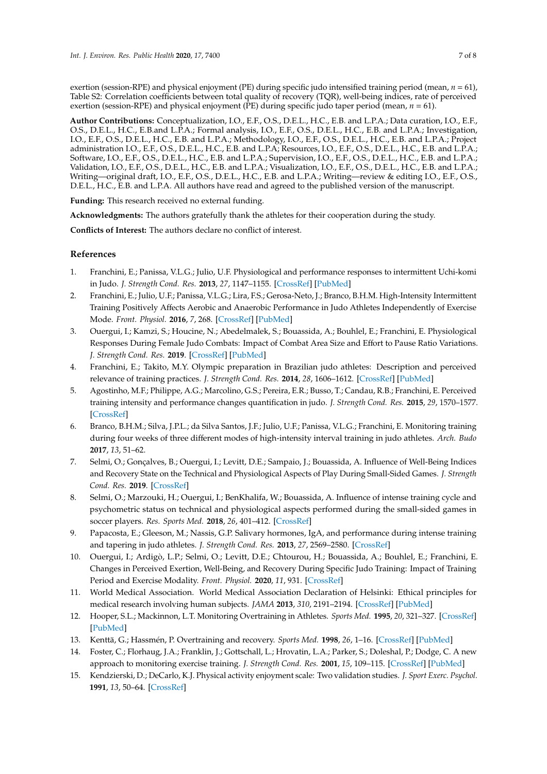exertion (session-RPE) and physical enjoyment (PE) during specific judo intensified training period (mean, *n* = 61), Table S2: Correlation coefficients between total quality of recovery (TQR), well-being indices, rate of perceived exertion (session-RPE) and physical enjoyment (PE) during specific judo taper period (mean, *n* = 61).

**Author Contributions:** Conceptualization, I.O., E.F., O.S., D.E.L., H.C., E.B. and L.P.A.; Data curation, I.O., E.F., O.S., D.E.L., H.C., E.B.and L.P.A.; Formal analysis, I.O., E.F., O.S., D.E.L., H.C., E.B. and L.P.A.; Investigation, I.O., E.F., O.S., D.E.L., H.C., E.B. and L.P.A.; Methodology, I.O., E.F., O.S., D.E.L., H.C., E.B. and L.P.A.; Project administration I.O., E.F., O.S., D.E.L., H.C., E.B. and L.P.A; Resources, I.O., E.F., O.S., D.E.L., H.C., E.B. and L.P.A.; Software, I.O., E.F., O.S., D.E.L., H.C., E.B. and L.P.A.; Supervision, I.O., E.F., O.S., D.E.L., H.C., E.B. and L.P.A.; Validation, I.O., E.F., O.S., D.E.L., H.C., E.B. and L.P.A.; Visualization, I.O., E.F., O.S., D.E.L., H.C., E.B. and L.P.A.; Writing—original draft, I.O., E.F., O.S., D.E.L., H.C., E.B. and L.P.A.; Writing—review & editing I.O., E.F., O.S., D.E.L., H.C., E.B. and L.P.A. All authors have read and agreed to the published version of the manuscript.

**Funding:** This research received no external funding.

**Acknowledgments:** The authors gratefully thank the athletes for their cooperation during the study.

**Conflicts of Interest:** The authors declare no conflict of interest.

### **References**

- <span id="page-6-0"></span>1. Franchini, E.; Panissa, V.L.G.; Julio, U.F. Physiological and performance responses to intermittent Uchi-komi in Judo. *J. Strength Cond. Res.* **2013**, *27*, 1147–1155. [\[CrossRef\]](http://dx.doi.org/10.1519/JSC.0b013e3182606d27) [\[PubMed\]](http://www.ncbi.nlm.nih.gov/pubmed/22692119)
- <span id="page-6-2"></span>2. Franchini, E.; Julio, U.F.; Panissa, V.L.G.; Lira, F.S.; Gerosa-Neto, J.; Branco, B.H.M. High-Intensity Intermittent Training Positively Affects Aerobic and Anaerobic Performance in Judo Athletes Independently of Exercise Mode. *Front. Physiol.* **2016**, *7*, 268. [\[CrossRef\]](http://dx.doi.org/10.3389/fphys.2016.00268) [\[PubMed\]](http://www.ncbi.nlm.nih.gov/pubmed/27445856)
- <span id="page-6-1"></span>3. Ouergui, I.; Kamzi, S.; Houcine, N.; Abedelmalek, S.; Bouassida, A.; Bouhlel, E.; Franchini, E. Physiological Responses During Female Judo Combats: Impact of Combat Area Size and Effort to Pause Ratio Variations. *J. Strength Cond. Res.* **2019**. [\[CrossRef\]](http://dx.doi.org/10.1519/JSC.0000000000003307) [\[PubMed\]](http://www.ncbi.nlm.nih.gov/pubmed/31343555)
- <span id="page-6-3"></span>4. Franchini, E.; Takito, M.Y. Olympic preparation in Brazilian judo athletes: Description and perceived relevance of training practices. *J. Strength Cond. Res.* **2014**, *28*, 1606–1612. [\[CrossRef\]](http://dx.doi.org/10.1519/JSC.0000000000000300) [\[PubMed\]](http://www.ncbi.nlm.nih.gov/pubmed/24149759)
- <span id="page-6-4"></span>5. Agostinho, M.F.; Philippe, A.G.; Marcolino, G.S.; Pereira, E.R.; Busso, T.; Candau, R.B.; Franchini, E. Perceived training intensity and performance changes quantification in judo. *J. Strength Cond. Res.* **2015**, *29*, 1570–1577. [\[CrossRef\]](http://dx.doi.org/10.1519/JSC.0000000000000777)
- <span id="page-6-5"></span>6. Branco, B.H.M.; Silva, J.P.L.; da Silva Santos, J.F.; Julio, U.F.; Panissa, V.L.G.; Franchini, E. Monitoring training during four weeks of three different modes of high-intensity interval training in judo athletes. *Arch. Budo* **2017**, *13*, 51–62.
- <span id="page-6-6"></span>7. Selmi, O.; Gonçalves, B.; Ouergui, I.; Levitt, D.E.; Sampaio, J.; Bouassida, A. Influence of Well-Being Indices and Recovery State on the Technical and Physiological Aspects of Play During Small-Sided Games. *J. Strength Cond. Res.* **2019**. [\[CrossRef\]](http://dx.doi.org/10.1519/JSC.0000000000003228)
- <span id="page-6-7"></span>8. Selmi, O.; Marzouki, H.; Ouergui, I.; BenKhalifa, W.; Bouassida, A. Influence of intense training cycle and psychometric status on technical and physiological aspects performed during the small-sided games in soccer players. *Res. Sports Med.* **2018**, *26*, 401–412. [\[CrossRef\]](http://dx.doi.org/10.1080/15438627.2018.1492398)
- <span id="page-6-8"></span>9. Papacosta, E.; Gleeson, M.; Nassis, G.P. Salivary hormones, IgA, and performance during intense training and tapering in judo athletes. *J. Strength Cond. Res.* **2013**, *27*, 2569–2580. [\[CrossRef\]](http://dx.doi.org/10.1519/JSC.0b013e31827fd85c)
- <span id="page-6-9"></span>10. Ouergui, I.; Ardigò, L.P.; Selmi, O.; Levitt, D.E.; Chtourou, H.; Bouassida, A.; Bouhlel, E.; Franchini, E. Changes in Perceived Exertion, Well-Being, and Recovery During Specific Judo Training: Impact of Training Period and Exercise Modality. *Front. Physiol.* **2020**, *11*, 931. [\[CrossRef\]](http://dx.doi.org/10.3389/fphys.2020.00931)
- <span id="page-6-10"></span>11. World Medical Association. World Medical Association Declaration of Helsinki: Ethical principles for medical research involving human subjects. *JAMA* **2013**, *310*, 2191–2194. [\[CrossRef\]](http://dx.doi.org/10.1001/jama.2013.281053) [\[PubMed\]](http://www.ncbi.nlm.nih.gov/pubmed/24141714)
- <span id="page-6-11"></span>12. Hooper, S.L.; Mackinnon, L.T. Monitoring Overtraining in Athletes. *Sports Med.* **1995**, *20*, 321–327. [\[CrossRef\]](http://dx.doi.org/10.2165/00007256-199520050-00003) [\[PubMed\]](http://www.ncbi.nlm.nih.gov/pubmed/8571005)
- <span id="page-6-12"></span>13. Kenttä, G.; Hassmén, P. Overtraining and recovery. *Sports Med.* **1998**, *26*, 1–16. [\[CrossRef\]](http://dx.doi.org/10.2165/00007256-199826010-00001) [\[PubMed\]](http://www.ncbi.nlm.nih.gov/pubmed/9739537)
- <span id="page-6-13"></span>14. Foster, C.; Florhaug, J.A.; Franklin, J.; Gottschall, L.; Hrovatin, L.A.; Parker, S.; Doleshal, P.; Dodge, C. A new approach to monitoring exercise training. *J. Strength Cond. Res.* **2001**, *15*, 109–115. [\[CrossRef\]](http://dx.doi.org/10.1519/00124278-200102000-00019) [\[PubMed\]](http://www.ncbi.nlm.nih.gov/pubmed/11708692)
- <span id="page-6-14"></span>15. Kendzierski, D.; DeCarlo, K.J. Physical activity enjoyment scale: Two validation studies. *J. Sport Exerc. Psychol.* **1991**, *13*, 50–64. [\[CrossRef\]](http://dx.doi.org/10.1123/jsep.13.1.50)